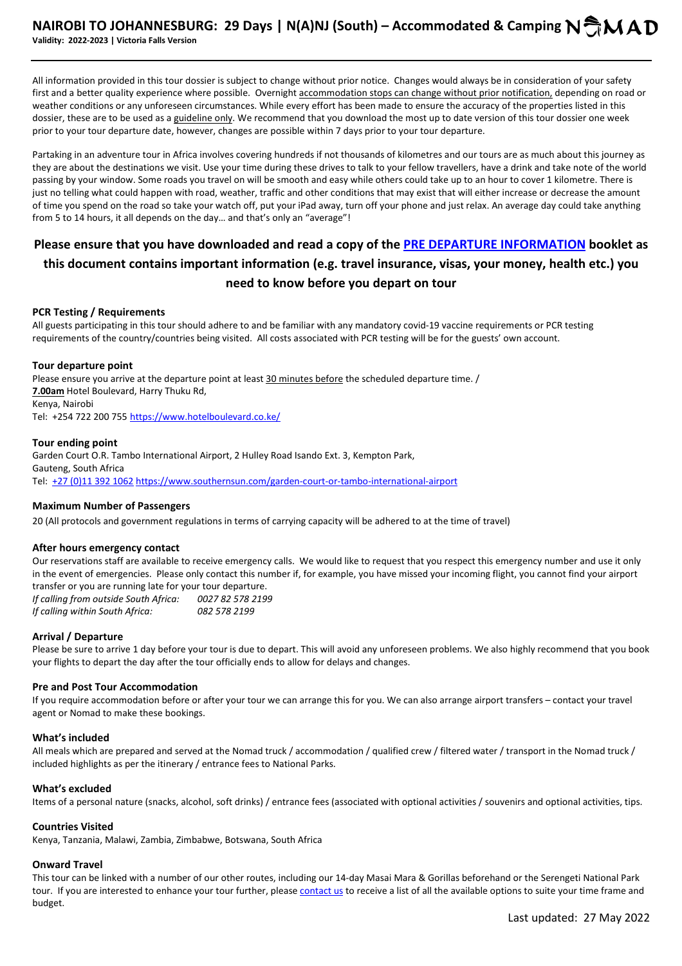All information provided in this tour dossier is subject to change without prior notice. Changes would always be in consideration of your safety first and a better quality experience where possible. Overnight accommodation stops can change without prior notification, depending on road or weather conditions or any unforeseen circumstances. While every effort has been made to ensure the accuracy of the properties listed in this dossier, these are to be used as a guideline only. We recommend that you download the most up to date version of this tour dossier one week prior to your tour departure date, however, changes are possible within 7 days prior to your tour departure.

Partaking in an adventure tour in Africa involves covering hundreds if not thousands of kilometres and our tours are as much about this journey as they are about the destinations we visit. Use your time during these drives to talk to your fellow travellers, have a drink and take note of the world passing by your window. Some roads you travel on will be smooth and easy while others could take up to an hour to cover 1 kilometre. There is just no telling what could happen with road, weather, traffic and other conditions that may exist that will either increase or decrease the amount of time you spend on the road so take your watch off, put your iPad away, turn off your phone and just relax. An average day could take anything from 5 to 14 hours, it all depends on the day… and that's only an "average"!

# **Please ensure that you have downloaded and read a copy of the PRE DEPARTURE INFORMATION booklet as this document contains important information (e.g. travel insurance, visas, your money, health etc.) you need to know before you depart on tour**

### **PCR Testing / Requirements**

All guests participating in this tour should adhere to and be familiar with any mandatory covid-19 vaccine requirements or PCR testing requirements of the country/countries being visited. All costs associated with PCR testing will be for the guests' own account.

### **Tour departure point**

Please ensure you arrive at the departure point at least 30 minutes before the scheduled departure time. / **7.00am** Hotel Boulevard, Harry Thuku Rd, Kenya, Nairobi Tel: +254 722 200 755 https://www.hotelboulevard.co.ke/

### **Tour ending point**

Garden Court O.R. Tambo International Airport, 2 Hulley Road Isando Ext. 3, Kempton Park, Gauteng, South Africa Tel: +27 (0)11 392 1062 https://www.southernsun.com/garden-court-or-tambo-international-airport

# **Maximum Number of Passengers**

20 (All protocols and government regulations in terms of carrying capacity will be adhered to at the time of travel)

# **After hours emergency contact**

Our reservations staff are available to receive emergency calls. We would like to request that you respect this emergency number and use it only in the event of emergencies. Please only contact this number if, for example, you have missed your incoming flight, you cannot find your airport transfer or you are running late for your tour departure. *If calling from outside South Africa: 0027 82 578 2199* 

*If calling within South Africa: 082 578 2199*

# **Arrival / Departure**

Please be sure to arrive 1 day before your tour is due to depart. This will avoid any unforeseen problems. We also highly recommend that you book your flights to depart the day after the tour officially ends to allow for delays and changes.

### **Pre and Post Tour Accommodation**

If you require accommodation before or after your tour we can arrange this for you. We can also arrange airport transfers – contact your travel agent or Nomad to make these bookings.

### **What's included**

All meals which are prepared and served at the Nomad truck / accommodation / qualified crew / filtered water / transport in the Nomad truck / included highlights as per the itinerary / entrance fees to National Parks.

### **What's excluded**

Items of a personal nature (snacks, alcohol, soft drinks) / entrance fees (associated with optional activities / souvenirs and optional activities, tips.

### **Countries Visited**

Kenya, Tanzania, Malawi, Zambia, Zimbabwe, Botswana, South Africa

### **Onward Travel**

This tour can be linked with a number of our other routes, including our 14-day Masai Mara & Gorillas beforehand or the Serengeti National Park tour. If you are interested to enhance your tour further, please contact us to receive a list of all the available options to suite your time frame and budget.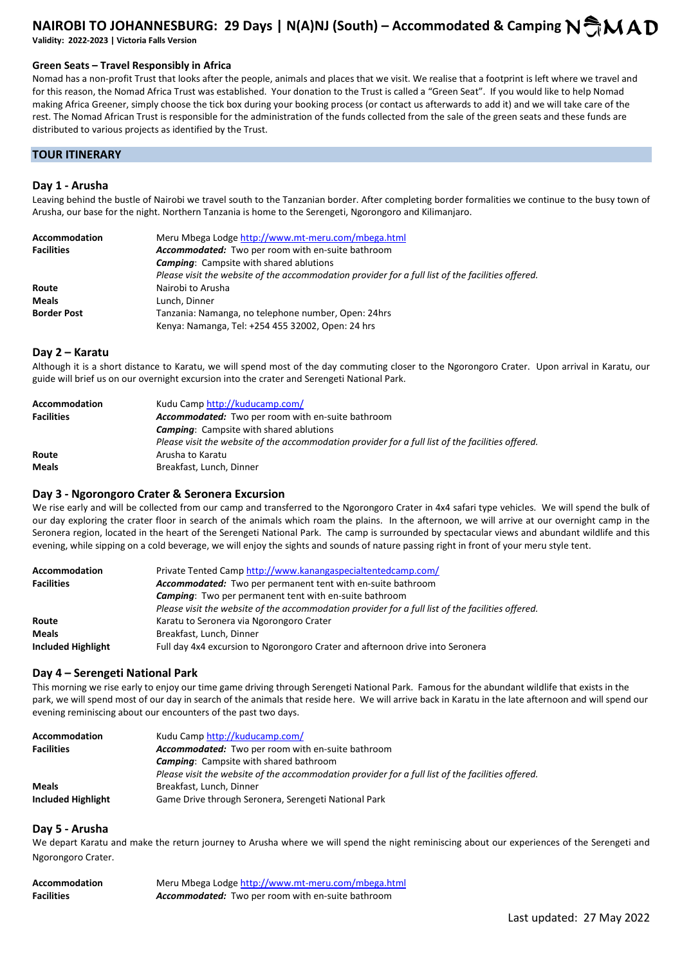# **NAIROBI TO JOHANNESBURG: 29 Days | N(A)NJ (South) – Accommodated & Camping N**  $\bigcirc$  **M A D Validity: 2022-2023 | Victoria Falls Version**

# **Green Seats – Travel Responsibly in Africa**

Nomad has a non-profit Trust that looks after the people, animals and places that we visit. We realise that a footprint is left where we travel and for this reason, the Nomad Africa Trust was established. Your donation to the Trust is called a "Green Seat". If you would like to help Nomad making Africa Greener, simply choose the tick box during your booking process (or contact us afterwards to add it) and we will take care of the rest. The Nomad African Trust is responsible for the administration of the funds collected from the sale of the green seats and these funds are distributed to various projects as identified by the Trust.

### **TOUR ITINERARY**

#### **Day 1 - Arusha**

Leaving behind the bustle of Nairobi we travel south to the Tanzanian border. After completing border formalities we continue to the busy town of Arusha, our base for the night. Northern Tanzania is home to the Serengeti, Ngorongoro and Kilimanjaro.

| Accommodation      | Meru Mbega Lodge http://www.mt-meru.com/mbega.html                                                |
|--------------------|---------------------------------------------------------------------------------------------------|
| <b>Facilities</b>  | Accommodated: Two per room with en-suite bathroom                                                 |
|                    | <b>Camping:</b> Campsite with shared ablutions                                                    |
|                    | Please visit the website of the accommodation provider for a full list of the facilities offered. |
| Route              | Nairobi to Arusha                                                                                 |
| <b>Meals</b>       | Lunch. Dinner                                                                                     |
| <b>Border Post</b> | Tanzania: Namanga, no telephone number, Open: 24hrs                                               |
|                    | Kenya: Namanga, Tel: +254 455 32002, Open: 24 hrs                                                 |

#### **Day 2 – Karatu**

Although it is a short distance to Karatu, we will spend most of the day commuting closer to the Ngorongoro Crater. Upon arrival in Karatu, our guide will brief us on our overnight excursion into the crater and Serengeti National Park.

| Accommodation     | Kudu Camp http://kuducamp.com/                                                                    |
|-------------------|---------------------------------------------------------------------------------------------------|
| <b>Facilities</b> | <b>Accommodated:</b> Two per room with en-suite bathroom                                          |
|                   | <b>Camping:</b> Campsite with shared ablutions                                                    |
|                   | Please visit the website of the accommodation provider for a full list of the facilities offered. |
| Route             | Arusha to Karatu                                                                                  |
| <b>Meals</b>      | Breakfast, Lunch, Dinner                                                                          |

### **Day 3 - Ngorongoro Crater & Seronera Excursion**

We rise early and will be collected from our camp and transferred to the Ngorongoro Crater in 4x4 safari type vehicles. We will spend the bulk of our day exploring the crater floor in search of the animals which roam the plains. In the afternoon, we will arrive at our overnight camp in the Seronera region, located in the heart of the Serengeti National Park. The camp is surrounded by spectacular views and abundant wildlife and this evening, while sipping on a cold beverage, we will enjoy the sights and sounds of nature passing right in front of your meru style tent.

| Accommodation             | Private Tented Camp http://www.kanangaspecialtentedcamp.com/                                      |
|---------------------------|---------------------------------------------------------------------------------------------------|
| <b>Facilities</b>         | Accommodated: Two per permanent tent with en-suite bathroom                                       |
|                           | <b>Camping:</b> Two per permanent tent with en-suite bathroom                                     |
|                           | Please visit the website of the accommodation provider for a full list of the facilities offered. |
| Route                     | Karatu to Seronera via Ngorongoro Crater                                                          |
| <b>Meals</b>              | Breakfast, Lunch, Dinner                                                                          |
| <b>Included Highlight</b> | Full day 4x4 excursion to Ngorongoro Crater and afternoon drive into Seronera                     |

### **Day 4 – Serengeti National Park**

This morning we rise early to enjoy our time game driving through Serengeti National Park. Famous for the abundant wildlife that exists in the park, we will spend most of our day in search of the animals that reside here. We will arrive back in Karatu in the late afternoon and will spend our evening reminiscing about our encounters of the past two days.

| <b>Accommodation</b> | Kudu Camp http://kuducamp.com/                                                                    |
|----------------------|---------------------------------------------------------------------------------------------------|
| <b>Facilities</b>    | <b>Accommodated:</b> Two per room with en-suite bathroom                                          |
|                      | <b>Camping:</b> Campsite with shared bathroom                                                     |
|                      | Please visit the website of the accommodation provider for a full list of the facilities offered. |
| <b>Meals</b>         | Breakfast, Lunch, Dinner                                                                          |
| Included Highlight   | Game Drive through Seronera, Serengeti National Park                                              |

#### **Day 5 - Arusha**

We depart Karatu and make the return journey to Arusha where we will spend the night reminiscing about our experiences of the Serengeti and Ngorongoro Crater.

| Accommodation     | Meru Mbega Lodge http://www.mt-meru.com/mbega.html |
|-------------------|----------------------------------------------------|
| <b>Facilities</b> | Accommodated: Two per room with en-suite bathroom  |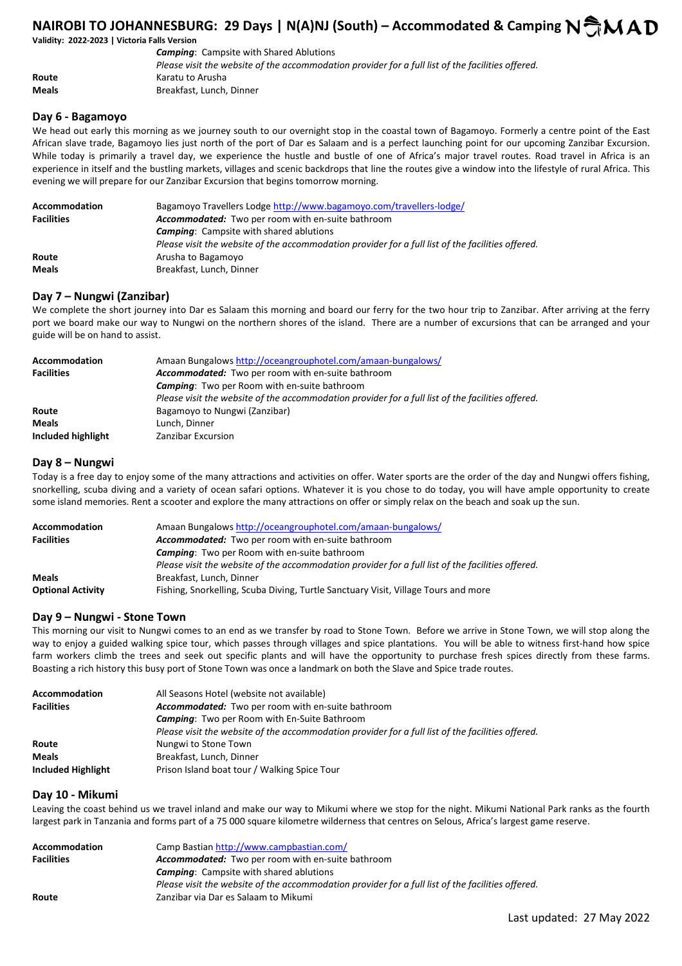# **NAIROBI TO JOHANNESBURG: 29 Days | N(A)NJ (South) – Accommodated & Camping N CMAD**

# **Validity: 2022-2023 | Victoria Falls Version**

 *Camping*: Campsite with Shared Ablutions *Please visit the website of the accommodation provider for a full list of the facilities offered.*  **Route Karatu to Arusha Meals** Breakfast, Lunch, Dinner

### **Day 6 - Bagamoyo**

We head out early this morning as we journey south to our overnight stop in the coastal town of Bagamoyo. Formerly a centre point of the East African slave trade, Bagamoyo lies just north of the port of Dar es Salaam and is a perfect launching point for our upcoming Zanzibar Excursion. While today is primarily a travel day, we experience the hustle and bustle of one of Africa's major travel routes. Road travel in Africa is an experience in itself and the bustling markets, villages and scenic backdrops that line the routes give a window into the lifestyle of rural Africa. This evening we will prepare for our Zanzibar Excursion that begins tomorrow morning.

| Accommodation     | Bagamoyo Travellers Lodge http://www.bagamoyo.com/travellers-lodge/                               |
|-------------------|---------------------------------------------------------------------------------------------------|
| <b>Facilities</b> | Accommodated: Two per room with en-suite bathroom                                                 |
|                   | <b>Camping:</b> Campsite with shared ablutions                                                    |
|                   | Please visit the website of the accommodation provider for a full list of the facilities offered. |
| Route             | Arusha to Bagamoyo                                                                                |
| <b>Meals</b>      | Breakfast, Lunch, Dinner                                                                          |

### **Day 7 – Nungwi (Zanzibar)**

We complete the short journey into Dar es Salaam this morning and board our ferry for the two hour trip to Zanzibar. After arriving at the ferry port we board make our way to Nungwi on the northern shores of the island. There are a number of excursions that can be arranged and your guide will be on hand to assist.

| Accommodation      | Amaan Bungalows http://oceangrouphotel.com/amaan-bungalows/                                       |
|--------------------|---------------------------------------------------------------------------------------------------|
| <b>Facilities</b>  | Accommodated: Two per room with en-suite bathroom                                                 |
|                    | <b>Camping:</b> Two per Room with en-suite bathroom                                               |
|                    | Please visit the website of the accommodation provider for a full list of the facilities offered. |
| Route              | Bagamoyo to Nungwi (Zanzibar)                                                                     |
| <b>Meals</b>       | Lunch, Dinner                                                                                     |
| Included highlight | Zanzibar Excursion                                                                                |

### **Day 8 – Nungwi**

Today is a free day to enjoy some of the many attractions and activities on offer. Water sports are the order of the day and Nungwi offers fishing, snorkelling, scuba diving and a variety of ocean safari options. Whatever it is you chose to do today, you will have ample opportunity to create some island memories. Rent a scooter and explore the many attractions on offer or simply relax on the beach and soak up the sun.

| <b>Accommodation</b>     | Amaan Bungalows http://oceangrouphotel.com/amaan-bungalows/                                       |
|--------------------------|---------------------------------------------------------------------------------------------------|
| <b>Facilities</b>        | Accommodated: Two per room with en-suite bathroom                                                 |
|                          | <b>Camping:</b> Two per Room with en-suite bathroom                                               |
|                          | Please visit the website of the accommodation provider for a full list of the facilities offered. |
| <b>Meals</b>             | Breakfast, Lunch, Dinner                                                                          |
| <b>Optional Activity</b> | Fishing, Snorkelling, Scuba Diving, Turtle Sanctuary Visit, Village Tours and more                |

### **Day 9 – Nungwi - Stone Town**

This morning our visit to Nungwi comes to an end as we transfer by road to Stone Town. Before we arrive in Stone Town, we will stop along the way to enjoy a guided walking spice tour, which passes through villages and spice plantations. You will be able to witness first-hand how spice farm workers climb the trees and seek out specific plants and will have the opportunity to purchase fresh spices directly from these farms. Boasting a rich history this busy port of Stone Town was once a landmark on both the Slave and Spice trade routes.

| <b>Accommodation</b> | All Seasons Hotel (website not available)                                                         |
|----------------------|---------------------------------------------------------------------------------------------------|
| <b>Facilities</b>    | Accommodated: Two per room with en-suite bathroom                                                 |
|                      | <b>Camping:</b> Two per Room with En-Suite Bathroom                                               |
|                      | Please visit the website of the accommodation provider for a full list of the facilities offered. |
| Route                | Nungwi to Stone Town                                                                              |
| <b>Meals</b>         | Breakfast, Lunch, Dinner                                                                          |
| Included Highlight   | Prison Island boat tour / Walking Spice Tour                                                      |

# **Day 10 - Mikumi**

Leaving the coast behind us we travel inland and make our way to Mikumi where we stop for the night. Mikumi National Park ranks as the fourth largest park in Tanzania and forms part of a 75 000 square kilometre wilderness that centres on Selous, Africa's largest game reserve.

| Accommodation     | Camp Bastian http://www.campbastian.com/                                                          |
|-------------------|---------------------------------------------------------------------------------------------------|
| <b>Facilities</b> | <b>Accommodated:</b> Two per room with en-suite bathroom                                          |
|                   | <b>Camping:</b> Campsite with shared ablutions                                                    |
|                   | Please visit the website of the accommodation provider for a full list of the facilities offered. |
| Route             | Zanzibar via Dar es Salaam to Mikumi                                                              |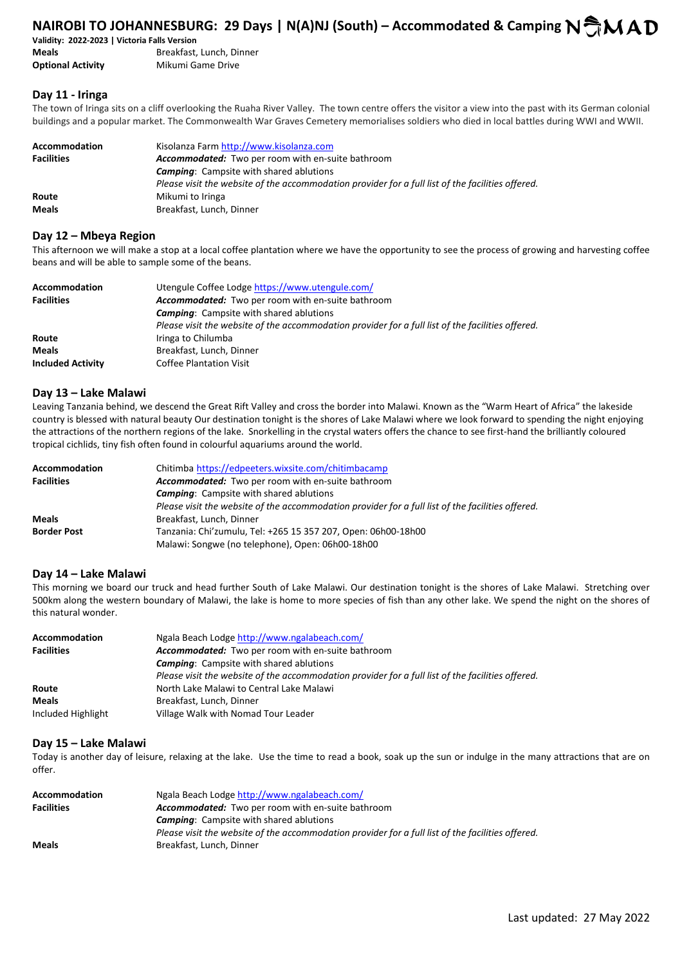# **NAIROBI TO JOHANNESBURG: 29 Days | N(A)NJ (South) – Accommodated & Camping N CMAD**

**Validity: 2022-2023 | Victoria Falls Version** 

**Meals** Breakfast, Lunch, Dinner **Optional Activity** Mikumi Game Drive

# **Day 11 - Iringa**

The town of Iringa sits on a cliff overlooking the Ruaha River Valley. The town centre offers the visitor a view into the past with its German colonial buildings and a popular market. The Commonwealth War Graves Cemetery memorialises soldiers who died in local battles during WWI and WWII.

| Accommodation<br><b>Facilities</b> | Kisolanza Farm http://www.kisolanza.com<br>Accommodated: Two per room with en-suite bathroom      |
|------------------------------------|---------------------------------------------------------------------------------------------------|
|                                    | <b>Camping:</b> Campsite with shared ablutions                                                    |
|                                    | Please visit the website of the accommodation provider for a full list of the facilities offered. |
| Route                              | Mikumi to Iringa                                                                                  |
| <b>Meals</b>                       | Breakfast, Lunch, Dinner                                                                          |

### **Day 12 – Mbeya Region**

This afternoon we will make a stop at a local coffee plantation where we have the opportunity to see the process of growing and harvesting coffee beans and will be able to sample some of the beans.

| <b>Accommodation</b>     | Utengule Coffee Lodge https://www.utengule.com/                                                   |
|--------------------------|---------------------------------------------------------------------------------------------------|
| <b>Facilities</b>        | Accommodated: Two per room with en-suite bathroom                                                 |
|                          | <b>Camping:</b> Campsite with shared ablutions                                                    |
|                          | Please visit the website of the accommodation provider for a full list of the facilities offered. |
| Route                    | Iringa to Chilumba                                                                                |
| <b>Meals</b>             | Breakfast, Lunch, Dinner                                                                          |
| <b>Included Activity</b> | <b>Coffee Plantation Visit</b>                                                                    |

### **Day 13 – Lake Malawi**

Leaving Tanzania behind, we descend the Great Rift Valley and cross the border into Malawi. Known as the "Warm Heart of Africa" the lakeside country is blessed with natural beauty Our destination tonight is the shores of Lake Malawi where we look forward to spending the night enjoying the attractions of the northern regions of the lake. Snorkelling in the crystal waters offers the chance to see first-hand the brilliantly coloured tropical cichlids, tiny fish often found in colourful aquariums around the world.

| <b>Accommodation</b> | Chitimba https://edpeeters.wixsite.com/chitimbacamp                                               |
|----------------------|---------------------------------------------------------------------------------------------------|
| <b>Facilities</b>    | Accommodated: Two per room with en-suite bathroom                                                 |
|                      | <b>Camping:</b> Campsite with shared ablutions                                                    |
|                      | Please visit the website of the accommodation provider for a full list of the facilities offered. |
| <b>Meals</b>         | Breakfast, Lunch, Dinner                                                                          |
| <b>Border Post</b>   | Tanzania: Chi'zumulu, Tel: +265 15 357 207, Open: 06h00-18h00                                     |
|                      | Malawi: Songwe (no telephone), Open: 06h00-18h00                                                  |

# **Day 14 – Lake Malawi**

This morning we board our truck and head further South of Lake Malawi. Our destination tonight is the shores of Lake Malawi. Stretching over 500km along the western boundary of Malawi, the lake is home to more species of fish than any other lake. We spend the night on the shores of this natural wonder.

| <b>Accommodation</b> | Ngala Beach Lodge http://www.ngalabeach.com/                                                      |
|----------------------|---------------------------------------------------------------------------------------------------|
| <b>Facilities</b>    | Accommodated: Two per room with en-suite bathroom                                                 |
|                      | <b>Camping:</b> Campsite with shared ablutions                                                    |
|                      | Please visit the website of the accommodation provider for a full list of the facilities offered. |
| Route                | North Lake Malawi to Central Lake Malawi                                                          |
| <b>Meals</b>         | Breakfast, Lunch, Dinner                                                                          |
| Included Highlight   | Village Walk with Nomad Tour Leader                                                               |

# **Day 15 – Lake Malawi**

Today is another day of leisure, relaxing at the lake. Use the time to read a book, soak up the sun or indulge in the many attractions that are on offer.

| <b>Accommodation</b> | Ngala Beach Lodge http://www.ngalabeach.com/                                                      |
|----------------------|---------------------------------------------------------------------------------------------------|
| <b>Facilities</b>    | <b>Accommodated:</b> Two per room with en-suite bathroom                                          |
|                      | <b>Camping:</b> Campsite with shared ablutions                                                    |
|                      | Please visit the website of the accommodation provider for a full list of the facilities offered. |
| <b>Meals</b>         | Breakfast, Lunch, Dinner                                                                          |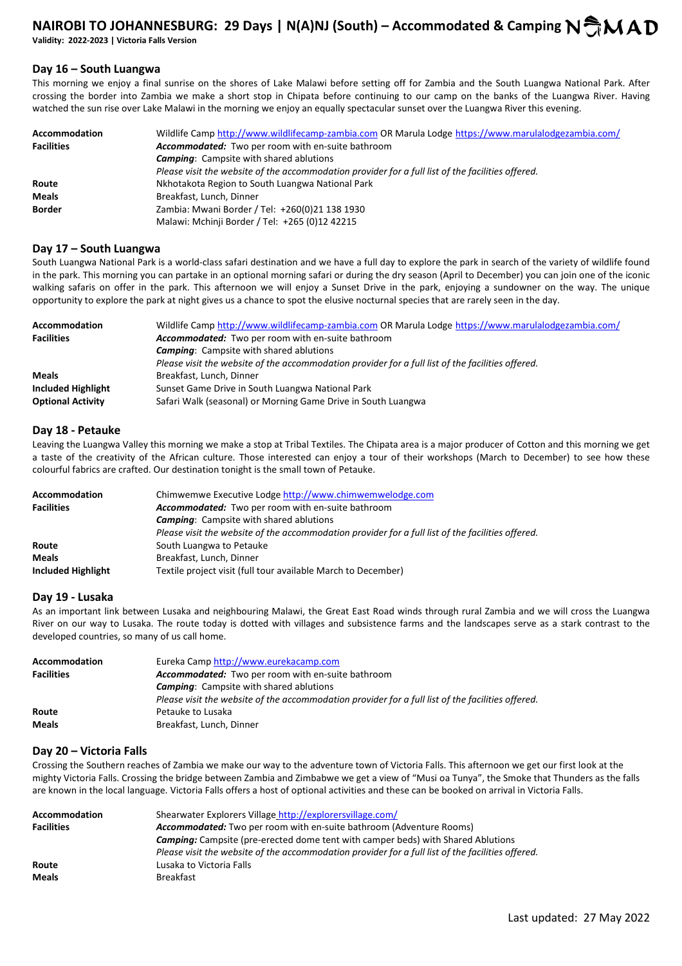# **NAIROBI TO JOHANNESBURG: 29 Days | N(A)NJ (South) – Accommodated & Camping N CMAD Validity: 2022-2023 | Victoria Falls Version**

### **Day 16 – South Luangwa**

This morning we enjoy a final sunrise on the shores of Lake Malawi before setting off for Zambia and the South Luangwa National Park. After crossing the border into Zambia we make a short stop in Chipata before continuing to our camp on the banks of the Luangwa River. Having watched the sun rise over Lake Malawi in the morning we enjoy an equally spectacular sunset over the Luangwa River this evening.

| <b>Accommodation</b> | Wildlife Camp http://www.wildlifecamp-zambia.com OR Marula Lodge https://www.marulalodgezambia.com/ |
|----------------------|-----------------------------------------------------------------------------------------------------|
| <b>Facilities</b>    | Accommodated: Two per room with en-suite bathroom                                                   |
|                      | <b>Camping:</b> Campsite with shared ablutions                                                      |
|                      | Please visit the website of the accommodation provider for a full list of the facilities offered.   |
| Route                | Nkhotakota Region to South Luangwa National Park                                                    |
| Meals                | Breakfast, Lunch, Dinner                                                                            |
| <b>Border</b>        | Zambia: Mwani Border / Tel: +260(0)21 138 1930                                                      |
|                      | Malawi: Mchinji Border / Tel: +265 (0)12 42215                                                      |

### **Day 17 – South Luangwa**

South Luangwa National Park is a world-class safari destination and we have a full day to explore the park in search of the variety of wildlife found in the park. This morning you can partake in an optional morning safari or during the dry season (April to December) you can join one of the iconic walking safaris on offer in the park. This afternoon we will enjoy a Sunset Drive in the park, enjoying a sundowner on the way. The unique opportunity to explore the park at night gives us a chance to spot the elusive nocturnal species that are rarely seen in the day.

| <b>Accommodation</b>     | Wildlife Camp http://www.wildlifecamp-zambia.com OR Marula Lodge https://www.marulalodgezambia.com/ |
|--------------------------|-----------------------------------------------------------------------------------------------------|
| <b>Facilities</b>        | Accommodated: Two per room with en-suite bathroom                                                   |
|                          | <b>Camping:</b> Campsite with shared ablutions                                                      |
|                          | Please visit the website of the accommodation provider for a full list of the facilities offered.   |
| <b>Meals</b>             | Breakfast, Lunch, Dinner                                                                            |
| Included Highlight       | Sunset Game Drive in South Luangwa National Park                                                    |
| <b>Optional Activity</b> | Safari Walk (seasonal) or Morning Game Drive in South Luangwa                                       |

### **Day 18 - Petauke**

Leaving the Luangwa Valley this morning we make a stop at Tribal Textiles. The Chipata area is a major producer of Cotton and this morning we get a taste of the creativity of the African culture. Those interested can enjoy a tour of their workshops (March to December) to see how these colourful fabrics are crafted. Our destination tonight is the small town of Petauke.

| Accommodation      | Chimwemwe Executive Lodge http://www.chimwemwelodge.com                                           |
|--------------------|---------------------------------------------------------------------------------------------------|
| <b>Facilities</b>  | <b>Accommodated:</b> Two per room with en-suite bathroom                                          |
|                    | <b>Camping:</b> Campsite with shared ablutions                                                    |
|                    | Please visit the website of the accommodation provider for a full list of the facilities offered. |
| Route              | South Luangwa to Petauke                                                                          |
| <b>Meals</b>       | Breakfast, Lunch, Dinner                                                                          |
| Included Highlight | Textile project visit (full tour available March to December)                                     |

### **Day 19 - Lusaka**

As an important link between Lusaka and neighbouring Malawi, the Great East Road winds through rural Zambia and we will cross the Luangwa River on our way to Lusaka. The route today is dotted with villages and subsistence farms and the landscapes serve as a stark contrast to the developed countries, so many of us call home.

| Accommodation     | Eureka Camp http://www.eurekacamp.com                                                             |
|-------------------|---------------------------------------------------------------------------------------------------|
| <b>Facilities</b> | Accommodated: Two per room with en-suite bathroom                                                 |
|                   | <b>Camping:</b> Campsite with shared ablutions                                                    |
|                   | Please visit the website of the accommodation provider for a full list of the facilities offered. |
| Route             | Petauke to Lusaka                                                                                 |
| <b>Meals</b>      | Breakfast, Lunch, Dinner                                                                          |

# **Day 20 – Victoria Falls**

Crossing the Southern reaches of Zambia we make our way to the adventure town of Victoria Falls. This afternoon we get our first look at the mighty Victoria Falls. Crossing the bridge between Zambia and Zimbabwe we get a view of "Musi oa Tunya", the Smoke that Thunders as the falls are known in the local language. Victoria Falls offers a host of optional activities and these can be booked on arrival in Victoria Falls.

| Accommodation     | Shearwater Explorers Village http://explorersvillage.com/                                         |
|-------------------|---------------------------------------------------------------------------------------------------|
| <b>Facilities</b> | <b>Accommodated:</b> Two per room with en-suite bathroom (Adventure Rooms)                        |
|                   | <b>Camping:</b> Campsite (pre-erected dome tent with camper beds) with Shared Ablutions           |
|                   | Please visit the website of the accommodation provider for a full list of the facilities offered. |
| Route             | Lusaka to Victoria Falls                                                                          |
| <b>Meals</b>      | <b>Breakfast</b>                                                                                  |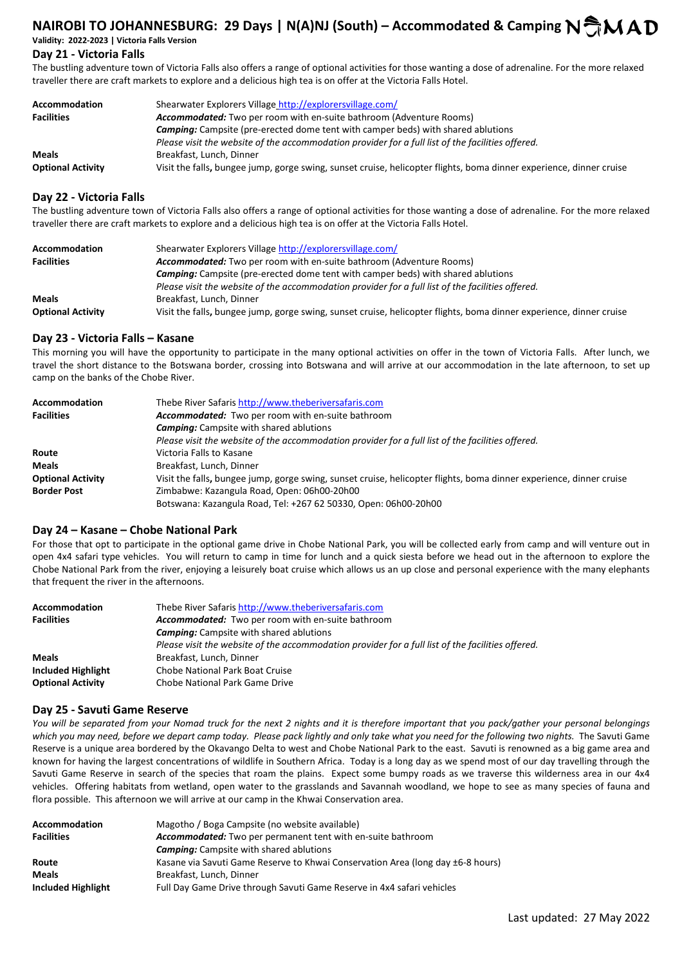# **NAIROBI TO JOHANNESBURG: 29 Days | N(A)NJ (South) – Accommodated & Camping N AD Validity: 2022-2023 | Victoria Falls Version**

# **Day 21 - Victoria Falls**

The bustling adventure town of Victoria Falls also offers a range of optional activities for those wanting a dose of adrenaline. For the more relaxed traveller there are craft markets to explore and a delicious high tea is on offer at the Victoria Falls Hotel.

| <b>Accommodation</b>     | Shearwater Explorers Village http://explorersvillage.com/                                                           |
|--------------------------|---------------------------------------------------------------------------------------------------------------------|
| <b>Facilities</b>        | <b>Accommodated:</b> Two per room with en-suite bathroom (Adventure Rooms)                                          |
|                          | <b>Camping:</b> Campsite (pre-erected dome tent with camper beds) with shared ablutions                             |
|                          | Please visit the website of the accommodation provider for a full list of the facilities offered.                   |
| <b>Meals</b>             | Breakfast, Lunch, Dinner                                                                                            |
| <b>Optional Activity</b> | Visit the falls, bungee jump, gorge swing, sunset cruise, helicopter flights, boma dinner experience, dinner cruise |

# **Day 22 - Victoria Falls**

The bustling adventure town of Victoria Falls also offers a range of optional activities for those wanting a dose of adrenaline. For the more relaxed traveller there are craft markets to explore and a delicious high tea is on offer at the Victoria Falls Hotel.

| <b>Accommodation</b>     | Shearwater Explorers Village http://explorersvillage.com/                                                           |
|--------------------------|---------------------------------------------------------------------------------------------------------------------|
| <b>Facilities</b>        | <b>Accommodated:</b> Two per room with en-suite bathroom (Adventure Rooms)                                          |
|                          | <b>Camping:</b> Campsite (pre-erected dome tent with camper beds) with shared ablutions                             |
|                          | Please visit the website of the accommodation provider for a full list of the facilities offered.                   |
| <b>Meals</b>             | Breakfast, Lunch, Dinner                                                                                            |
| <b>Optional Activity</b> | Visit the falls, bungee jump, gorge swing, sunset cruise, helicopter flights, boma dinner experience, dinner cruise |

### **Day 23 - Victoria Falls – Kasane**

This morning you will have the opportunity to participate in the many optional activities on offer in the town of Victoria Falls. After lunch, we travel the short distance to the Botswana border, crossing into Botswana and will arrive at our accommodation in the late afternoon, to set up camp on the banks of the Chobe River.

| <b>Accommodation</b>     | Thebe River Safaris http://www.theberiversafaris.com                                                                |
|--------------------------|---------------------------------------------------------------------------------------------------------------------|
| <b>Facilities</b>        | Accommodated: Two per room with en-suite bathroom                                                                   |
|                          | <b>Camping:</b> Campsite with shared ablutions                                                                      |
|                          | Please visit the website of the accommodation provider for a full list of the facilities offered.                   |
| Route                    | Victoria Falls to Kasane                                                                                            |
| <b>Meals</b>             | Breakfast, Lunch, Dinner                                                                                            |
| <b>Optional Activity</b> | Visit the falls, bungee jump, gorge swing, sunset cruise, helicopter flights, boma dinner experience, dinner cruise |
| <b>Border Post</b>       | Zimbabwe: Kazangula Road, Open: 06h00-20h00                                                                         |
|                          | Botswana: Kazangula Road, Tel: +267 62 50330, Open: 06h00-20h00                                                     |

# **Day 24 – Kasane – Chobe National Park**

For those that opt to participate in the optional game drive in Chobe National Park, you will be collected early from camp and will venture out in open 4x4 safari type vehicles. You will return to camp in time for lunch and a quick siesta before we head out in the afternoon to explore the Chobe National Park from the river, enjoying a leisurely boat cruise which allows us an up close and personal experience with the many elephants that frequent the river in the afternoons.

| <b>Accommodation</b>     | Thebe River Safaris http://www.theberiversafaris.com                                              |
|--------------------------|---------------------------------------------------------------------------------------------------|
| <b>Facilities</b>        | Accommodated: Two per room with en-suite bathroom                                                 |
|                          | <b>Camping:</b> Campsite with shared ablutions                                                    |
|                          | Please visit the website of the accommodation provider for a full list of the facilities offered. |
| <b>Meals</b>             | Breakfast, Lunch, Dinner                                                                          |
| Included Highlight       | Chobe National Park Boat Cruise                                                                   |
| <b>Optional Activity</b> | Chobe National Park Game Drive                                                                    |

# **Day 25 - Savuti Game Reserve**

*You will be separated from your Nomad truck for the next 2 nights and it is therefore important that you pack/gather your personal belongings which you may need, before we depart camp today. Please pack lightly and only take what you need for the following two nights.* The Savuti Game Reserve is a unique area bordered by the Okavango Delta to west and Chobe National Park to the east. Savuti is renowned as a big game area and known for having the largest concentrations of wildlife in Southern Africa. Today is a long day as we spend most of our day travelling through the Savuti Game Reserve in search of the species that roam the plains. Expect some bumpy roads as we traverse this wilderness area in our 4x4 vehicles. Offering habitats from wetland, open water to the grasslands and Savannah woodland, we hope to see as many species of fauna and flora possible. This afternoon we will arrive at our camp in the Khwai Conservation area.

| <b>Accommodation</b> | Magotho / Boga Campsite (no website available)                                  |
|----------------------|---------------------------------------------------------------------------------|
| <b>Facilities</b>    | Accommodated: Two per permanent tent with en-suite bathroom                     |
|                      | <b>Camping:</b> Campsite with shared ablutions                                  |
| Route                | Kasane via Savuti Game Reserve to Khwai Conservation Area (long day ±6-8 hours) |
| <b>Meals</b>         | Breakfast, Lunch, Dinner                                                        |
| Included Highlight   | Full Day Game Drive through Savuti Game Reserve in 4x4 safari vehicles          |